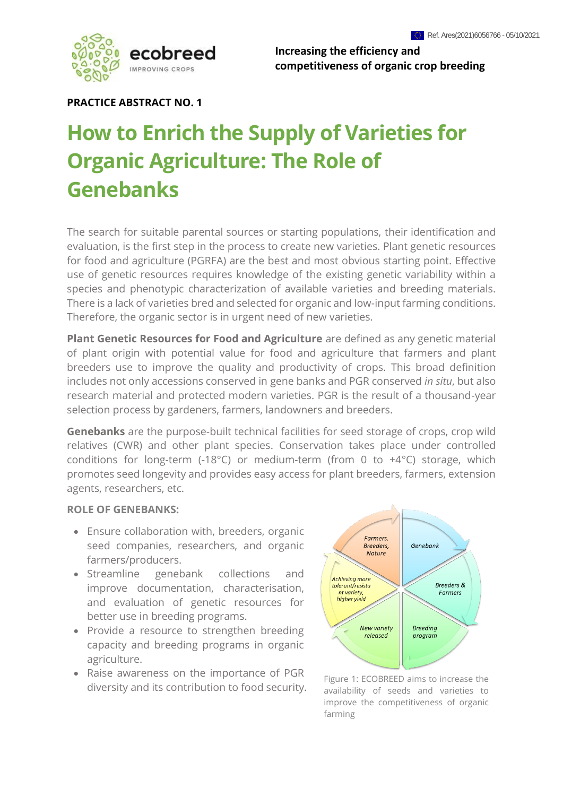

**Increasing the efficiency and competitiveness of organic crop breeding**

## **PRACTICE ABSTRACT NO. 1**

# **How to Enrich the Supply of Varieties for Organic Agriculture: The Role of Genebanks**

The search for suitable parental sources or starting populations, their identification and evaluation, is the first step in the process to create new varieties. Plant genetic resources for food and agriculture (PGRFA) are the best and most obvious starting point. Effective use of genetic resources requires knowledge of the existing genetic variability within a species and phenotypic characterization of available varieties and breeding materials. There is a lack of varieties bred and selected for organic and low-input farming conditions. Therefore, the organic sector is in urgent need of new varieties.

**Plant Genetic Resources for Food and Agriculture** are defined as any genetic material of plant origin with potential value for food and agriculture that farmers and plant breeders use to improve the quality and productivity of crops. This broad definition includes not only accessions conserved in gene banks and PGR conserved *in situ*, but also research material and protected modern varieties. PGR is the result of a thousand-year selection process by gardeners, farmers, landowners and breeders.

**Genebanks** are the purpose-built technical facilities for seed storage of crops, crop wild relatives (CWR) and other plant species. Conservation takes place under controlled conditions for long-term (-18°C) or medium-term (from 0 to +4°C) storage, which promotes seed longevity and provides easy access for plant breeders, farmers, extension agents, researchers, etc.

#### **ROLE OF GENEBANKS:**

- Ensure collaboration with, breeders, organic seed companies, researchers, and organic farmers/producers.
- Streamline genebank collections and improve documentation, characterisation, and evaluation of genetic resources for better use in breeding programs.
- Provide a resource to strengthen breeding capacity and breeding programs in organic agriculture.
- Raise awareness on the importance of PGR diversity and its contribution to food security.



Figure 1: ECOBREED aims to increase the availability of seeds and varieties to improve the competitiveness of organic farming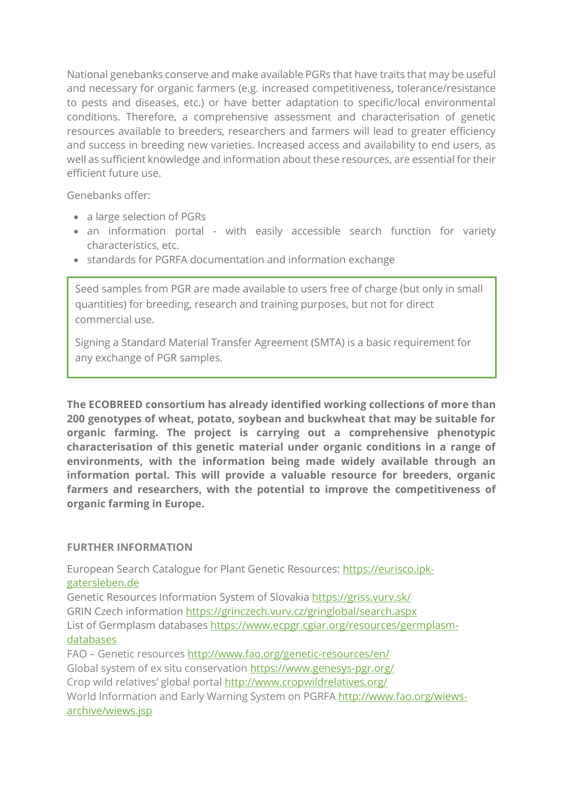National genebanks conserve and make available PGRs that have traits that may be useful and necessary for organic farmers (e.g. increased competitiveness, tolerance/resistance to pests and diseases, etc.) or have better adaptation to specific/local environmental conditions. Therefore, a comprehensive assessment and characterisation of genetic resources available to breeders, researchers and farmers will lead to greater efficiency and success in breeding new varieties. Increased access and availability to end users, as well as sufficient knowledge and information about these resources, are essential for their efficient future use.

Genebanks offer:

- a large selection of PGRs
- an information portal with easily accessible search function for variety characteristics, etc.
- standards for PGRFA documentation and information exchange

Seed samples from PGR are made available to users free of charge (but only in small quantities) for breeding, research and training purposes, but not for direct commercial use.

Signing a Standard Material Transfer Agreement (SMTA) is a basic requirement for any exchange of PGR samples.

**The ECOBREED consortium has already identified working collections of more than 200 genotypes of wheat, potato, soybean and buckwheat that may be suitable for organic farming. The project is carrying out a comprehensive phenotypic characterisation of this genetic material under organic conditions in a range of environments, with the information being made widely available through an information portal. This will provide a valuable resource for breeders, organic farmers and researchers, with the potential to improve the competitiveness of organic farming in Europe.**

# **FURTHER INFORMATION**

European Search Catalogue for Plant Genetic Resources: [https://eurisco.ipk](https://eurisco.ipk-gatersleben.de/)[gatersleben.de](https://eurisco.ipk-gatersleben.de/)

Genetic Resources Information System of Slovakia<https://griss.vurv.sk/> GRIN Czech information<https://grinczech.vurv.cz/gringlobal/search.aspx> List of Germplasm databases [https://www.ecpgr.cgiar.org/resources/germplasm](https://www.ecpgr.cgiar.org/resources/germplasm-databases)[databases](https://www.ecpgr.cgiar.org/resources/germplasm-databases)

FAO – Genetic resources<http://www.fao.org/genetic-resources/en/> Global system of ex situ conservation https://www.genesys-pgr.org/ Crop wild relatives' global portal<http://www.cropwildrelatives.org/> World Information and Early Warning System on PGRFA http://www.fao.org/wiewsarchive/wiews.jsp